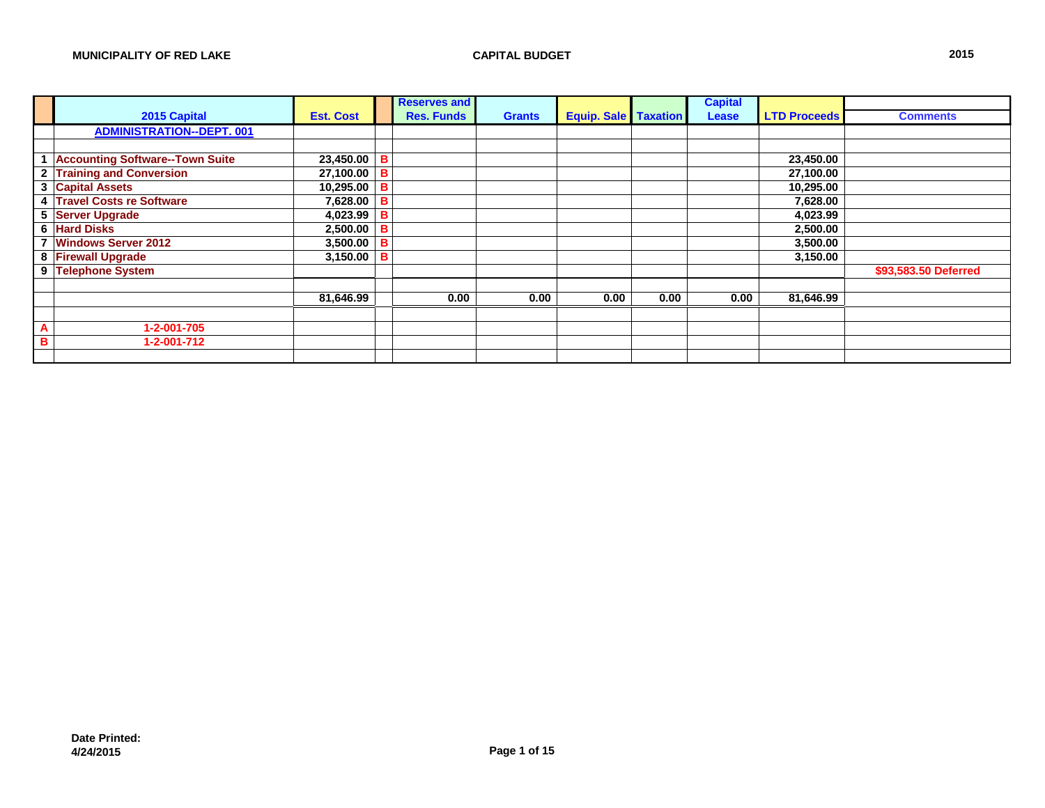|              |                                        |                  |   | <b>Reserves and</b> |               |                               |      | <b>Capital</b> |                     |                      |
|--------------|----------------------------------------|------------------|---|---------------------|---------------|-------------------------------|------|----------------|---------------------|----------------------|
|              | 2015 Capital                           | <b>Est. Cost</b> |   | <b>Res. Funds</b>   | <b>Grants</b> | <b>Equip. Sale   Taxation</b> |      | Lease          | <b>LTD Proceeds</b> | <b>Comments</b>      |
|              | <b>ADMINISTRATION--DEPT. 001</b>       |                  |   |                     |               |                               |      |                |                     |                      |
|              |                                        |                  |   |                     |               |                               |      |                |                     |                      |
|              | <b>Accounting Software--Town Suite</b> | 23,450.00        | B |                     |               |                               |      |                | 23,450.00           |                      |
| $\mathbf{2}$ | <b>Training and Conversion</b>         | 27,100.00        | в |                     |               |                               |      |                | 27,100.00           |                      |
| 3            | <b>Capital Assets</b>                  | 10,295.00        | в |                     |               |                               |      |                | 10,295.00           |                      |
| 4            | <b>Travel Costs re Software</b>        | 7,628.00         | в |                     |               |                               |      |                | 7,628.00            |                      |
| 5            | <b>Server Upgrade</b>                  | 4,023.99         | в |                     |               |                               |      |                | 4,023.99            |                      |
|              | <b>6 Hard Disks</b>                    | 2,500.00         | в |                     |               |                               |      |                | 2,500.00            |                      |
|              | <b>Windows Server 2012</b>             | 3,500.00         |   |                     |               |                               |      |                | 3,500.00            |                      |
|              | 8 Firewall Upgrade                     | 3,150.00         |   |                     |               |                               |      |                | 3,150.00            |                      |
| 9            | <b>Telephone System</b>                |                  |   |                     |               |                               |      |                |                     | \$93,583.50 Deferred |
|              |                                        |                  |   |                     |               |                               |      |                |                     |                      |
|              |                                        | 81,646.99        |   | 0.00                | 0.00          | 0.00                          | 0.00 | 0.00           | 81,646.99           |                      |
|              |                                        |                  |   |                     |               |                               |      |                |                     |                      |
| A            | 1-2-001-705                            |                  |   |                     |               |                               |      |                |                     |                      |
| в            | 1-2-001-712                            |                  |   |                     |               |                               |      |                |                     |                      |
|              |                                        |                  |   |                     |               |                               |      |                |                     |                      |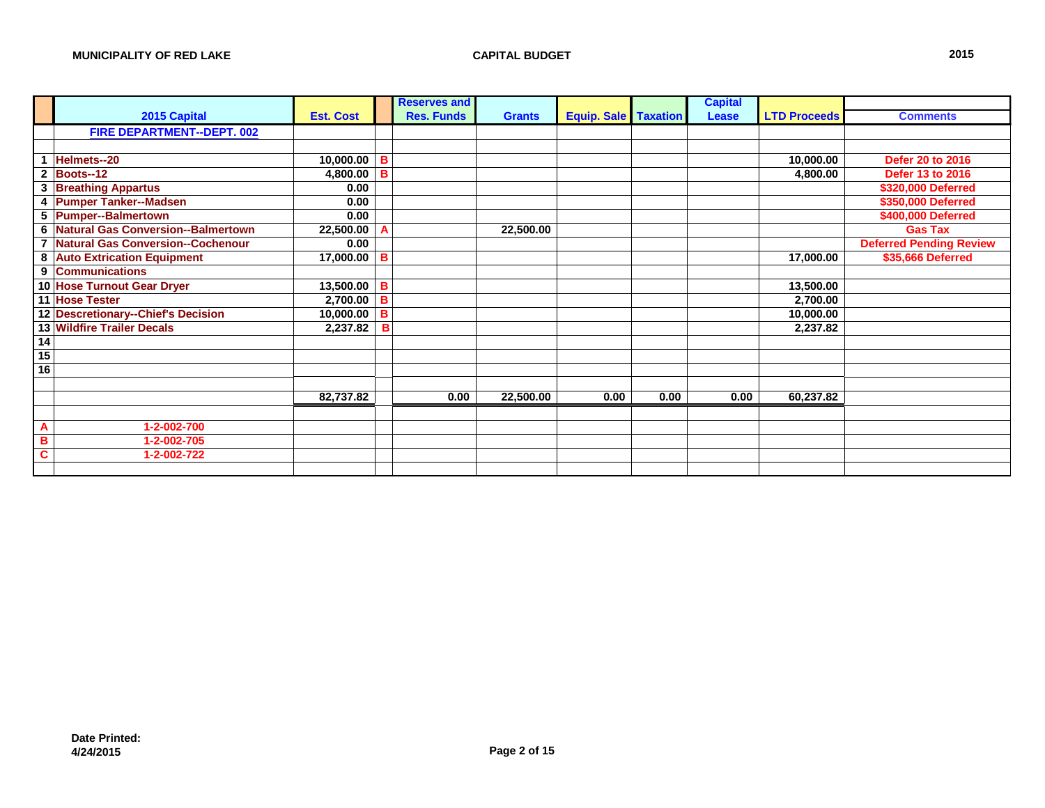|                 |                                      |                  |   | <b>Reserves and</b> |               |                               |      | <b>Capital</b> |                     |                                |
|-----------------|--------------------------------------|------------------|---|---------------------|---------------|-------------------------------|------|----------------|---------------------|--------------------------------|
|                 | 2015 Capital                         | <b>Est. Cost</b> |   | <b>Res. Funds</b>   | <b>Grants</b> | <b>Equip. Sale   Taxation</b> |      | Lease          | <b>LTD Proceeds</b> | <b>Comments</b>                |
|                 | <b>FIRE DEPARTMENT--DEPT. 002</b>    |                  |   |                     |               |                               |      |                |                     |                                |
|                 |                                      |                  |   |                     |               |                               |      |                |                     |                                |
|                 | 1 Helmets--20                        | 10,000.00        | в |                     |               |                               |      |                | 10,000.00           | Defer 20 to 2016               |
|                 | 2 Boots--12                          | 4,800.00         | B |                     |               |                               |      |                | 4,800.00            | <b>Defer 13 to 2016</b>        |
|                 | 3 Breathing Appartus                 | 0.00             |   |                     |               |                               |      |                |                     | \$320,000 Deferred             |
|                 | 4 Pumper Tanker--Madsen              | 0.00             |   |                     |               |                               |      |                |                     | \$350,000 Deferred             |
|                 | 5 Pumper--Balmertown                 | 0.00             |   |                     |               |                               |      |                |                     | \$400,000 Deferred             |
|                 | 6 Natural Gas Conversion--Balmertown | 22,500.00        | A |                     | 22,500.00     |                               |      |                |                     | <b>Gas Tax</b>                 |
|                 | 7 Natural Gas Conversion--Cochenour  | 0.00             |   |                     |               |                               |      |                |                     | <b>Deferred Pending Review</b> |
|                 | 8 Auto Extrication Equipment         | 17,000.00        | в |                     |               |                               |      |                | 17,000.00           | \$35,666 Deferred              |
|                 | 9 Communications                     |                  |   |                     |               |                               |      |                |                     |                                |
|                 | 10 Hose Turnout Gear Dryer           | 13,500.00        | в |                     |               |                               |      |                | 13,500.00           |                                |
|                 | 11 Hose Tester                       | 2,700.00         | в |                     |               |                               |      |                | 2,700.00            |                                |
|                 | 12 Descretionary--Chief's Decision   | 10,000.00        | B |                     |               |                               |      |                | 10,000.00           |                                |
|                 | <b>13 Wildfire Trailer Decals</b>    | 2,237.82         | в |                     |               |                               |      |                | 2,237.82            |                                |
| 14              |                                      |                  |   |                     |               |                               |      |                |                     |                                |
| $\overline{15}$ |                                      |                  |   |                     |               |                               |      |                |                     |                                |
| $\overline{16}$ |                                      |                  |   |                     |               |                               |      |                |                     |                                |
|                 |                                      |                  |   |                     |               |                               |      |                |                     |                                |
|                 |                                      | 82,737.82        |   | 0.00                | 22,500.00     | 0.00                          | 0.00 | 0.00           | 60,237.82           |                                |
|                 |                                      |                  |   |                     |               |                               |      |                |                     |                                |
| A               | 1-2-002-700                          |                  |   |                     |               |                               |      |                |                     |                                |
| B               | 1-2-002-705                          |                  |   |                     |               |                               |      |                |                     |                                |
| C               | 1-2-002-722                          |                  |   |                     |               |                               |      |                |                     |                                |
|                 |                                      |                  |   |                     |               |                               |      |                |                     |                                |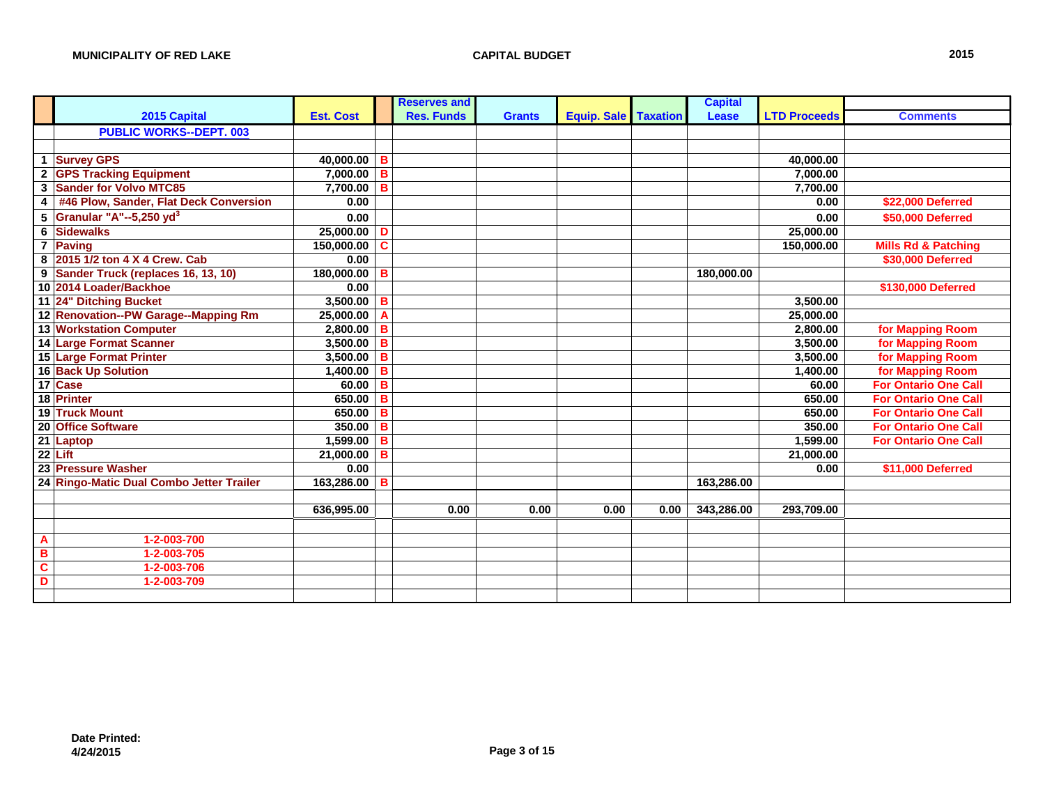|                         |                                          |                  |    | <b>Reserves and</b> |               |                               |      | <b>Capital</b> |                     |                                |
|-------------------------|------------------------------------------|------------------|----|---------------------|---------------|-------------------------------|------|----------------|---------------------|--------------------------------|
|                         | 2015 Capital                             | <b>Est. Cost</b> |    | <b>Res. Funds</b>   | <b>Grants</b> | <b>Equip. Sale   Taxation</b> |      | Lease          | <b>LTD Proceeds</b> | <b>Comments</b>                |
|                         | <b>PUBLIC WORKS--DEPT. 003</b>           |                  |    |                     |               |                               |      |                |                     |                                |
|                         |                                          |                  |    |                     |               |                               |      |                |                     |                                |
|                         | 1 Survey GPS                             | 40,000.00        | в  |                     |               |                               |      |                | 40,000.00           |                                |
|                         | 2 GPS Tracking Equipment                 | 7,000.00         | B  |                     |               |                               |      |                | 7,000.00            |                                |
|                         | 3 Sander for Volvo MTC85                 | 7.700.00         | в  |                     |               |                               |      |                | 7.700.00            |                                |
| $\overline{\mathbf{4}}$ | #46 Plow, Sander, Flat Deck Conversion   | 0.00             |    |                     |               |                               |      |                | 0.00                | \$22,000 Deferred              |
|                         | 5 Granular "A"--5,250 yd <sup>3</sup>    | 0.00             |    |                     |               |                               |      |                | 0.00                | \$50,000 Deferred              |
|                         | <b>6 Sidewalks</b>                       | 25,000.00        | D  |                     |               |                               |      |                | 25,000.00           |                                |
|                         | 7 Paving                                 | 150,000.00       | C. |                     |               |                               |      |                | 150,000.00          | <b>Mills Rd &amp; Patching</b> |
|                         | 8 2015 1/2 ton 4 X 4 Crew. Cab           | 0.00             |    |                     |               |                               |      |                |                     | \$30,000 Deferred              |
|                         | 9 Sander Truck (replaces 16, 13, 10)     | 180,000.00       | в  |                     |               |                               |      | 180,000.00     |                     |                                |
|                         | 10 2014 Loader/Backhoe                   | 0.00             |    |                     |               |                               |      |                |                     | \$130,000 Deferred             |
|                         | 11 24" Ditching Bucket                   | 3,500.00         | в  |                     |               |                               |      |                | 3,500.00            |                                |
|                         | 12 Renovation--PW Garage--Mapping Rm     | 25,000.00        | А  |                     |               |                               |      |                | 25,000.00           |                                |
|                         | 13 Workstation Computer                  | 2,800.00         | в  |                     |               |                               |      |                | 2,800.00            | for Mapping Room               |
|                         | 14 Large Format Scanner                  | 3,500.00         | B  |                     |               |                               |      |                | 3,500.00            | for Mapping Room               |
|                         | 15 Large Format Printer                  | 3,500.00         | в  |                     |               |                               |      |                | 3,500.00            | for Mapping Room               |
|                         | 16 Back Up Solution                      | 1,400.00         | в  |                     |               |                               |      |                | 1,400.00            | for Mapping Room               |
|                         | 17 Case                                  | 60.00            | B  |                     |               |                               |      |                | 60.00               | <b>For Ontario One Call</b>    |
|                         | 18 Printer                               | 650.00           | в  |                     |               |                               |      |                | 650.00              | <b>For Ontario One Call</b>    |
|                         | 19 Truck Mount                           | 650.00           | в  |                     |               |                               |      |                | 650.00              | <b>For Ontario One Call</b>    |
|                         | 20 Office Software                       | 350.00           | B  |                     |               |                               |      |                | 350.00              | <b>For Ontario One Call</b>    |
|                         | 21 Laptop                                | 1,599.00         | в  |                     |               |                               |      |                | 1,599.00            | <b>For Ontario One Call</b>    |
|                         | $22$ Lift                                | 21,000.00        | в  |                     |               |                               |      |                | 21,000.00           |                                |
|                         | 23 Pressure Washer                       | 0.00             |    |                     |               |                               |      |                | 0.00                | \$11,000 Deferred              |
|                         | 24 Ringo-Matic Dual Combo Jetter Trailer | 163,286.00       | в  |                     |               |                               |      | 163,286.00     |                     |                                |
|                         |                                          |                  |    |                     |               |                               |      |                |                     |                                |
|                         |                                          | 636,995.00       |    | 0.00                | 0.00          | 0.00                          | 0.00 | 343,286.00     | 293,709.00          |                                |
|                         |                                          |                  |    |                     |               |                               |      |                |                     |                                |
| A                       | 1-2-003-700                              |                  |    |                     |               |                               |      |                |                     |                                |
| B                       | 1-2-003-705                              |                  |    |                     |               |                               |      |                |                     |                                |
| $\overline{\mathbf{c}}$ | 1-2-003-706                              |                  |    |                     |               |                               |      |                |                     |                                |
| D                       | 1-2-003-709                              |                  |    |                     |               |                               |      |                |                     |                                |
|                         |                                          |                  |    |                     |               |                               |      |                |                     |                                |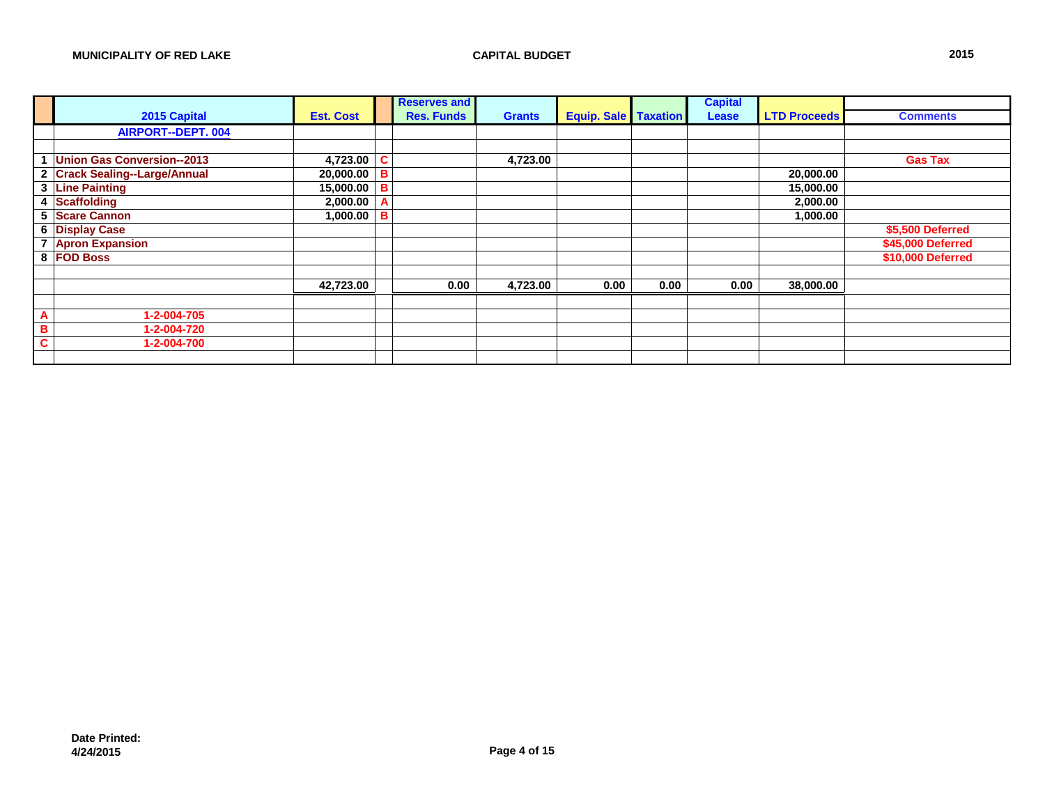|   |                                   |                  |   | <b>Reserves and</b> |               |                             |      | <b>Capital</b> |                     |                   |
|---|-----------------------------------|------------------|---|---------------------|---------------|-----------------------------|------|----------------|---------------------|-------------------|
|   | 2015 Capital                      | <b>Est. Cost</b> |   | <b>Res. Funds</b>   | <b>Grants</b> | <b>Equip. Sale Taxation</b> |      | Lease          | <b>LTD Proceeds</b> | <b>Comments</b>   |
|   | <b>AIRPORT--DEPT. 004</b>         |                  |   |                     |               |                             |      |                |                     |                   |
|   |                                   |                  |   |                     |               |                             |      |                |                     |                   |
|   | <b>Union Gas Conversion--2013</b> | 4,723.00         | C |                     | 4,723.00      |                             |      |                |                     | <b>Gas Tax</b>    |
|   | 2 Crack Sealing--Large/Annual     | 20,000.00 B      |   |                     |               |                             |      |                | 20,000.00           |                   |
| 3 | <b>Line Painting</b>              | 15,000.00        | B |                     |               |                             |      |                | 15,000.00           |                   |
| 4 | Scaffolding                       | 2,000.00         |   |                     |               |                             |      |                | 2,000.00            |                   |
| 5 | <b>Scare Cannon</b>               | $1,000.00$ B     |   |                     |               |                             |      |                | 1,000.00            |                   |
|   | 6 Display Case                    |                  |   |                     |               |                             |      |                |                     | \$5,500 Deferred  |
| 7 | <b>Apron Expansion</b>            |                  |   |                     |               |                             |      |                |                     | \$45,000 Deferred |
|   | 8 FOD Boss                        |                  |   |                     |               |                             |      |                |                     | \$10,000 Deferred |
|   |                                   |                  |   |                     |               |                             |      |                |                     |                   |
|   |                                   | 42,723.00        |   | 0.00                | 4,723.00      | 0.00                        | 0.00 | 0.00           | 38,000.00           |                   |
|   |                                   |                  |   |                     |               |                             |      |                |                     |                   |
| A | 1-2-004-705                       |                  |   |                     |               |                             |      |                |                     |                   |
| в | 1-2-004-720                       |                  |   |                     |               |                             |      |                |                     |                   |
|   | 1-2-004-700                       |                  |   |                     |               |                             |      |                |                     |                   |
|   |                                   |                  |   |                     |               |                             |      |                |                     |                   |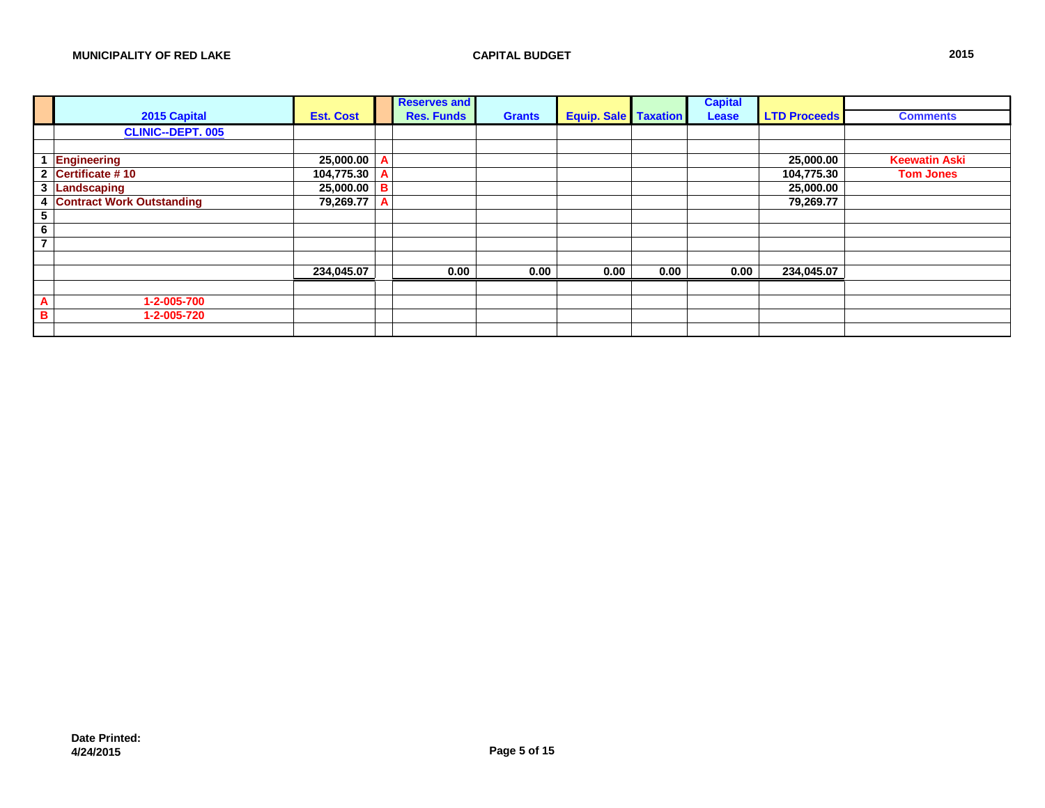|                          |                                  |                  |          | <b>Reserves and</b> |               |                             |      | <b>Capital</b> |                     |                      |
|--------------------------|----------------------------------|------------------|----------|---------------------|---------------|-----------------------------|------|----------------|---------------------|----------------------|
|                          | 2015 Capital                     | <b>Est. Cost</b> |          | <b>Res. Funds</b>   | <b>Grants</b> | <b>Equip. Sale Taxation</b> |      | Lease          | <b>LTD Proceeds</b> | <b>Comments</b>      |
|                          | <b>CLINIC--DEPT. 005</b>         |                  |          |                     |               |                             |      |                |                     |                      |
|                          |                                  |                  |          |                     |               |                             |      |                |                     |                      |
|                          | Engineering                      | 25,000.00        |          |                     |               |                             |      |                | 25,000.00           | <b>Keewatin Aski</b> |
| $\mathbf{2}$             | Certificate #10                  | 104,775.30       |          |                     |               |                             |      |                | 104,775.30          | <b>Tom Jones</b>     |
| 3                        | Landscaping                      | 25,000.00        | <b>B</b> |                     |               |                             |      |                | 25,000.00           |                      |
| 4                        | <b>Contract Work Outstanding</b> | 79,269.77        |          |                     |               |                             |      |                | 79,269.77           |                      |
| 5                        |                                  |                  |          |                     |               |                             |      |                |                     |                      |
| 6                        |                                  |                  |          |                     |               |                             |      |                |                     |                      |
| $\overline{\phantom{a}}$ |                                  |                  |          |                     |               |                             |      |                |                     |                      |
|                          |                                  |                  |          |                     |               |                             |      |                |                     |                      |
|                          |                                  | 234,045.07       |          | 0.00                | 0.00          | 0.00                        | 0.00 | 0.00           | 234,045.07          |                      |
|                          |                                  |                  |          |                     |               |                             |      |                |                     |                      |
| A                        | 1-2-005-700                      |                  |          |                     |               |                             |      |                |                     |                      |
| в                        | 1-2-005-720                      |                  |          |                     |               |                             |      |                |                     |                      |
|                          |                                  |                  |          |                     |               |                             |      |                |                     |                      |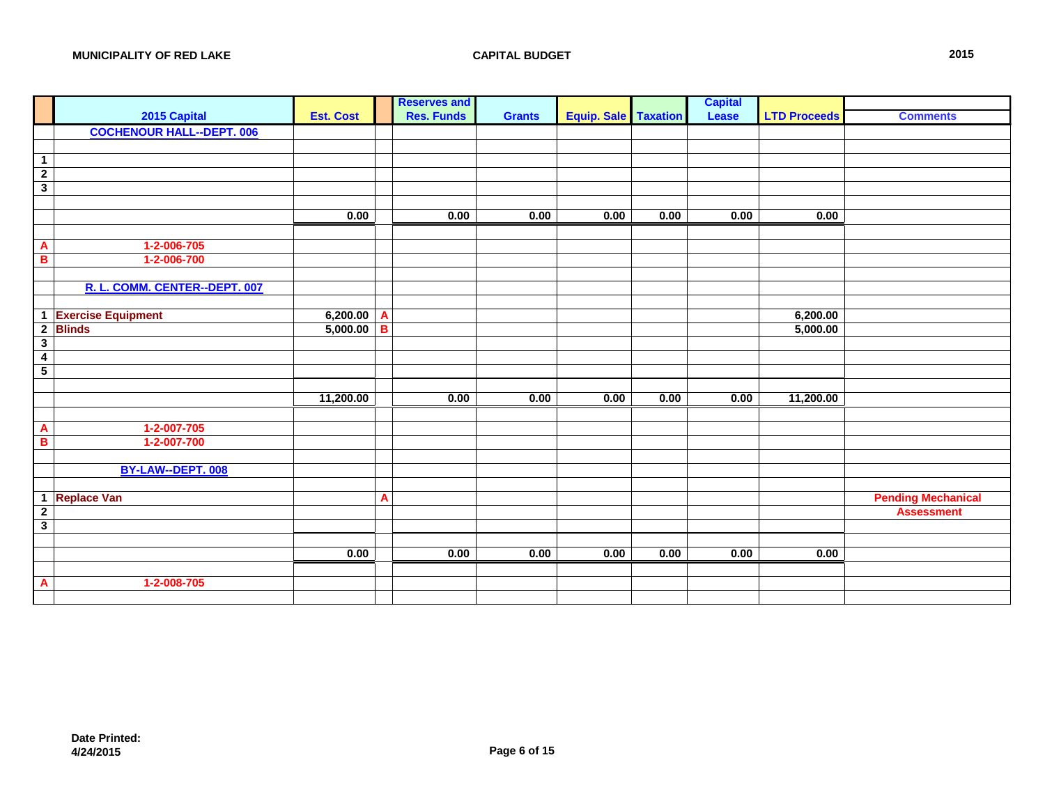|                                        |                  |              | <b>Reserves and</b> |               |                               |      | <b>Capital</b> |                     |                           |
|----------------------------------------|------------------|--------------|---------------------|---------------|-------------------------------|------|----------------|---------------------|---------------------------|
| 2015 Capital                           | <b>Est. Cost</b> |              | <b>Res. Funds</b>   | <b>Grants</b> | <b>Equip. Sale   Taxation</b> |      | Lease          | <b>LTD Proceeds</b> | <b>Comments</b>           |
| <b>COCHENOUR HALL--DEPT. 006</b>       |                  |              |                     |               |                               |      |                |                     |                           |
|                                        |                  |              |                     |               |                               |      |                |                     |                           |
| $\overline{1}$                         |                  |              |                     |               |                               |      |                |                     |                           |
|                                        |                  |              |                     |               |                               |      |                |                     |                           |
| $\frac{2}{3}$                          |                  |              |                     |               |                               |      |                |                     |                           |
|                                        |                  |              |                     |               |                               |      |                |                     |                           |
|                                        | 0.00             |              | 0.00                | 0.00          | 0.00                          | 0.00 | 0.00           | 0.00                |                           |
|                                        |                  |              |                     |               |                               |      |                |                     |                           |
| 1-2-006-705<br>$\overline{\mathbf{A}}$ |                  |              |                     |               |                               |      |                |                     |                           |
| $\overline{B}$<br>1-2-006-700          |                  |              |                     |               |                               |      |                |                     |                           |
|                                        |                  |              |                     |               |                               |      |                |                     |                           |
| R. L. COMM. CENTER--DEPT. 007          |                  |              |                     |               |                               |      |                |                     |                           |
|                                        |                  |              |                     |               |                               |      |                |                     |                           |
| 1 Exercise Equipment                   | 6,200.00         | $\mathbf{A}$ |                     |               |                               |      |                | 6,200.00            |                           |
| $\overline{2}$<br><b>Blinds</b>        | 5,000.00         | B            |                     |               |                               |      |                | 5,000.00            |                           |
| $\overline{\mathbf{3}}$                |                  |              |                     |               |                               |      |                |                     |                           |
| $\overline{4}$                         |                  |              |                     |               |                               |      |                |                     |                           |
| $\overline{\phantom{a}}$               |                  |              |                     |               |                               |      |                |                     |                           |
|                                        |                  |              |                     |               |                               |      |                |                     |                           |
|                                        | 11,200.00        |              | 0.00                | 0.00          | 0.00                          | 0.00 | 0.00           | 11,200.00           |                           |
|                                        |                  |              |                     |               |                               |      |                |                     |                           |
| 1-2-007-705<br>$\mathbf{A}$            |                  |              |                     |               |                               |      |                |                     |                           |
| B<br>1-2-007-700                       |                  |              |                     |               |                               |      |                |                     |                           |
|                                        |                  |              |                     |               |                               |      |                |                     |                           |
| BY-LAW--DEPT. 008                      |                  |              |                     |               |                               |      |                |                     |                           |
|                                        |                  |              |                     |               |                               |      |                |                     |                           |
| <b>Replace Van</b><br>$\overline{1}$   |                  | A            |                     |               |                               |      |                |                     | <b>Pending Mechanical</b> |
| $\frac{2}{3}$                          |                  |              |                     |               |                               |      |                |                     | <b>Assessment</b>         |
|                                        |                  |              |                     |               |                               |      |                |                     |                           |
|                                        |                  |              |                     |               |                               |      |                |                     |                           |
|                                        | 0.00             |              | 0.00                | 0.00          | 0.00                          | 0.00 | 0.00           | 0.00                |                           |
|                                        |                  |              |                     |               |                               |      |                |                     |                           |
| 1-2-008-705<br>$\mathbf{A}$            |                  |              |                     |               |                               |      |                |                     |                           |
|                                        |                  |              |                     |               |                               |      |                |                     |                           |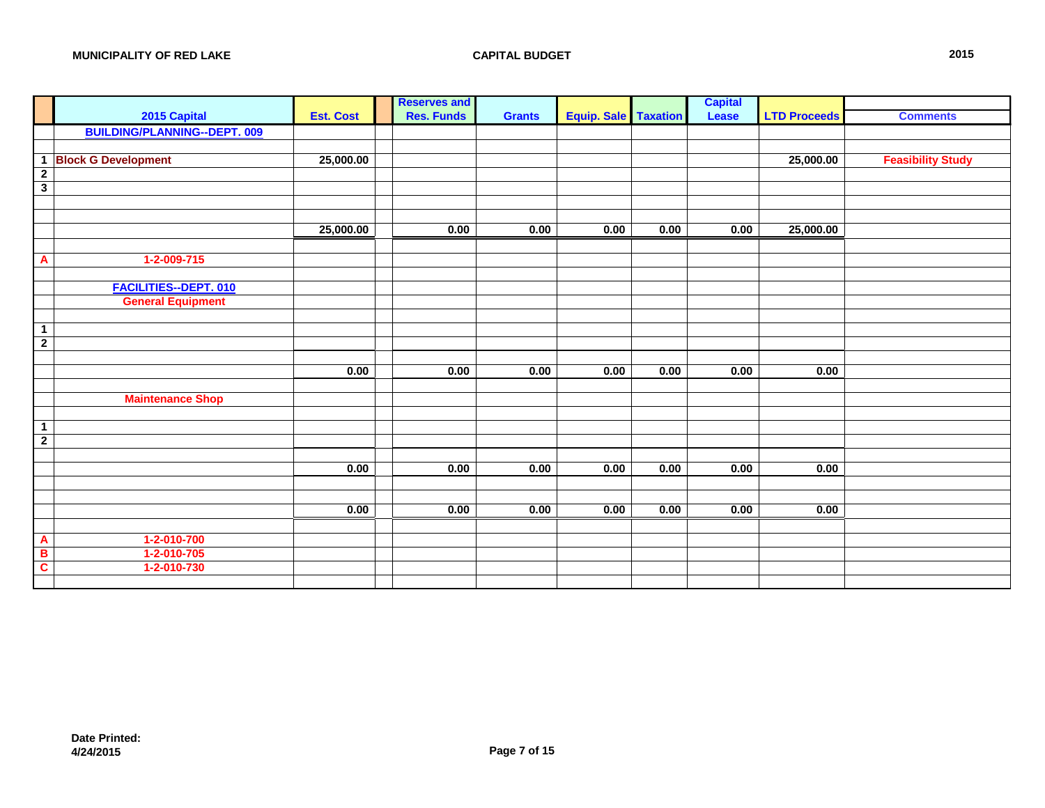| <b>Capital</b><br>2015 Capital<br><b>Res. Funds</b><br><b>Equip. Sale</b> Taxation<br><b>LTD Proceeds</b><br><b>Est. Cost</b><br>Lease<br><b>Grants</b><br><b>Comments</b><br><b>BUILDING/PLANNING--DEPT. 009</b><br><b>Feasibility Study</b><br><b>Block G Development</b><br>25,000.00<br>25,000.00<br>$\overline{1}$<br>$\overline{2}$<br>$\overline{\mathbf{3}}$<br>0.00<br>0.00<br>0.00<br>25,000.00<br>0.00<br>0.00<br>25,000.00<br>$1-2-009-715$<br>$\mathbf{A}$ |  |
|-------------------------------------------------------------------------------------------------------------------------------------------------------------------------------------------------------------------------------------------------------------------------------------------------------------------------------------------------------------------------------------------------------------------------------------------------------------------------|--|
|                                                                                                                                                                                                                                                                                                                                                                                                                                                                         |  |
|                                                                                                                                                                                                                                                                                                                                                                                                                                                                         |  |
|                                                                                                                                                                                                                                                                                                                                                                                                                                                                         |  |
|                                                                                                                                                                                                                                                                                                                                                                                                                                                                         |  |
|                                                                                                                                                                                                                                                                                                                                                                                                                                                                         |  |
|                                                                                                                                                                                                                                                                                                                                                                                                                                                                         |  |
|                                                                                                                                                                                                                                                                                                                                                                                                                                                                         |  |
|                                                                                                                                                                                                                                                                                                                                                                                                                                                                         |  |
|                                                                                                                                                                                                                                                                                                                                                                                                                                                                         |  |
|                                                                                                                                                                                                                                                                                                                                                                                                                                                                         |  |
|                                                                                                                                                                                                                                                                                                                                                                                                                                                                         |  |
|                                                                                                                                                                                                                                                                                                                                                                                                                                                                         |  |
| FACILITIES--DEPT. 010                                                                                                                                                                                                                                                                                                                                                                                                                                                   |  |
| <b>General Equipment</b>                                                                                                                                                                                                                                                                                                                                                                                                                                                |  |
|                                                                                                                                                                                                                                                                                                                                                                                                                                                                         |  |
| $\overline{1}$                                                                                                                                                                                                                                                                                                                                                                                                                                                          |  |
| $\overline{2}$                                                                                                                                                                                                                                                                                                                                                                                                                                                          |  |
|                                                                                                                                                                                                                                                                                                                                                                                                                                                                         |  |
| 0.00<br>0.00<br>0.00<br>0.00<br>0.00<br>0.00<br>0.00                                                                                                                                                                                                                                                                                                                                                                                                                    |  |
|                                                                                                                                                                                                                                                                                                                                                                                                                                                                         |  |
| <b>Maintenance Shop</b>                                                                                                                                                                                                                                                                                                                                                                                                                                                 |  |
| $\mathbf{1}$                                                                                                                                                                                                                                                                                                                                                                                                                                                            |  |
| $\overline{\mathbf{2}}$                                                                                                                                                                                                                                                                                                                                                                                                                                                 |  |
|                                                                                                                                                                                                                                                                                                                                                                                                                                                                         |  |
| 0.00<br>0.00<br>0.00<br>0.00<br>0.00<br>0.00<br>0.00                                                                                                                                                                                                                                                                                                                                                                                                                    |  |
|                                                                                                                                                                                                                                                                                                                                                                                                                                                                         |  |
|                                                                                                                                                                                                                                                                                                                                                                                                                                                                         |  |
| 0.00<br>0.00<br>0.00<br>0.00<br>0.00<br>0.00<br>0.00                                                                                                                                                                                                                                                                                                                                                                                                                    |  |
|                                                                                                                                                                                                                                                                                                                                                                                                                                                                         |  |
| 1-2-010-700<br>$\mathbf{A}$                                                                                                                                                                                                                                                                                                                                                                                                                                             |  |
| $\overline{\mathbf{B}}$<br>1-2-010-705                                                                                                                                                                                                                                                                                                                                                                                                                                  |  |
| $\mathbf{c}$<br>1-2-010-730                                                                                                                                                                                                                                                                                                                                                                                                                                             |  |
|                                                                                                                                                                                                                                                                                                                                                                                                                                                                         |  |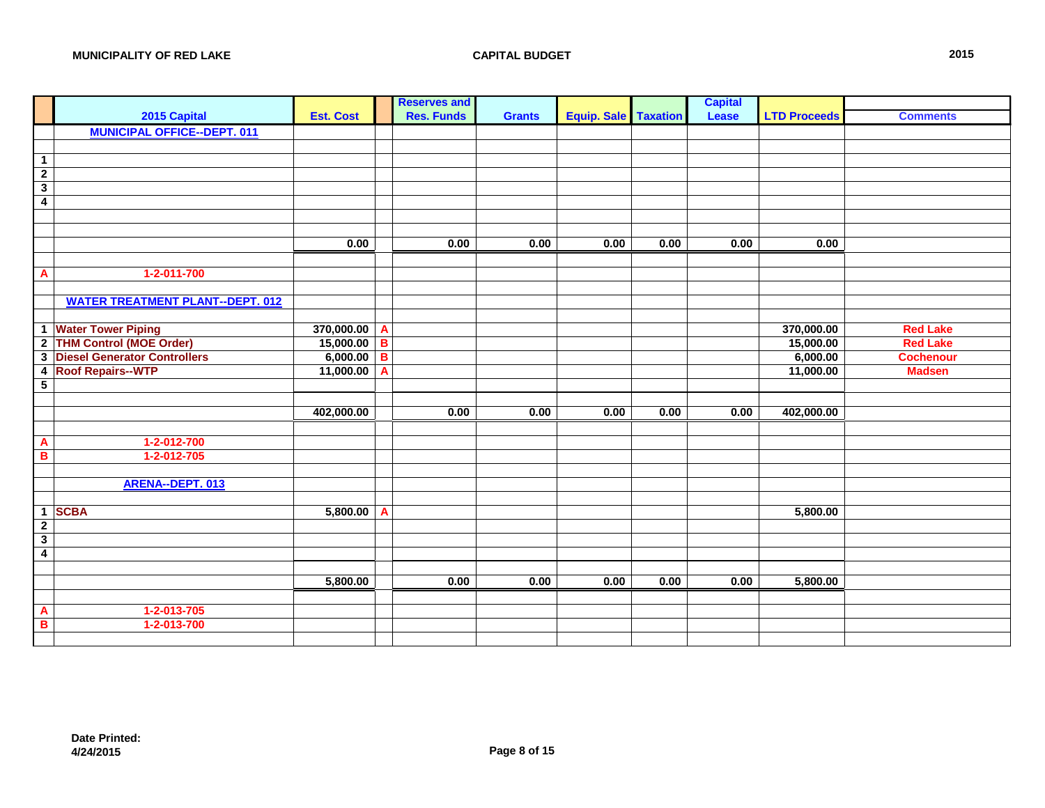|                          |                                         |                  |                | <b>Reserves and</b> |               |                      |      | <b>Capital</b> |                     |                  |
|--------------------------|-----------------------------------------|------------------|----------------|---------------------|---------------|----------------------|------|----------------|---------------------|------------------|
|                          | 2015 Capital                            | <b>Est. Cost</b> |                | <b>Res. Funds</b>   | <b>Grants</b> | Equip. Sale Taxation |      | Lease          | <b>LTD Proceeds</b> | <b>Comments</b>  |
|                          | <b>MUNICIPAL OFFICE--DEPT. 011</b>      |                  |                |                     |               |                      |      |                |                     |                  |
|                          |                                         |                  |                |                     |               |                      |      |                |                     |                  |
| $\overline{1}$           |                                         |                  |                |                     |               |                      |      |                |                     |                  |
| $\overline{2}$           |                                         |                  |                |                     |               |                      |      |                |                     |                  |
| $\overline{\mathbf{3}}$  |                                         |                  |                |                     |               |                      |      |                |                     |                  |
| $\overline{\mathbf{4}}$  |                                         |                  |                |                     |               |                      |      |                |                     |                  |
|                          |                                         |                  |                |                     |               |                      |      |                |                     |                  |
|                          |                                         |                  |                |                     |               |                      |      |                |                     |                  |
|                          |                                         | 0.00             |                | 0.00                | 0.00          | 0.00                 | 0.00 | 0.00           | 0.00                |                  |
|                          |                                         |                  |                |                     |               |                      |      |                |                     |                  |
| $\overline{A}$           | $1-2-011-700$                           |                  |                |                     |               |                      |      |                |                     |                  |
|                          |                                         |                  |                |                     |               |                      |      |                |                     |                  |
|                          | <b>WATER TREATMENT PLANT--DEPT. 012</b> |                  |                |                     |               |                      |      |                |                     |                  |
|                          |                                         |                  |                |                     |               |                      |      |                |                     |                  |
|                          | 1 Water Tower Piping                    | 370,000.00       | A              |                     |               |                      |      |                | 370,000.00          | <b>Red Lake</b>  |
|                          | 2 THM Control (MOE Order)               | 15,000.00        | $\overline{B}$ |                     |               |                      |      |                | 15,000.00           | <b>Red Lake</b>  |
|                          | 3 Diesel Generator Controllers          | 6,000.00         | $\overline{B}$ |                     |               |                      |      |                | 6,000.00            | <b>Cochenour</b> |
| $\overline{\mathbf{4}}$  | <b>Roof Repairs--WTP</b>                | 11,000.00        | A              |                     |               |                      |      |                | 11,000.00           | <b>Madsen</b>    |
| $\overline{\phantom{0}}$ |                                         |                  |                |                     |               |                      |      |                |                     |                  |
|                          |                                         |                  |                |                     |               |                      |      |                |                     |                  |
|                          |                                         | 402,000.00       |                | 0.00                | 0.00          | 0.00                 | 0.00 | 0.00           | 402,000.00          |                  |
|                          |                                         |                  |                |                     |               |                      |      |                |                     |                  |
| $\mathbf{A}$             | 1-2-012-700                             |                  |                |                     |               |                      |      |                |                     |                  |
| $\overline{\mathbf{B}}$  | 1-2-012-705                             |                  |                |                     |               |                      |      |                |                     |                  |
|                          |                                         |                  |                |                     |               |                      |      |                |                     |                  |
|                          | ARENA--DEPT. 013                        |                  |                |                     |               |                      |      |                |                     |                  |
|                          |                                         |                  |                |                     |               |                      |      |                |                     |                  |
|                          | 1 SCBA                                  | 5,800.00         | A              |                     |               |                      |      |                | 5,800.00            |                  |
| $\overline{2}$           |                                         |                  |                |                     |               |                      |      |                |                     |                  |
| $\overline{\mathbf{3}}$  |                                         |                  |                |                     |               |                      |      |                |                     |                  |
| $\overline{4}$           |                                         |                  |                |                     |               |                      |      |                |                     |                  |
|                          |                                         |                  |                |                     |               |                      |      |                |                     |                  |
|                          |                                         | 5,800.00         |                | 0.00                | 0.00          | 0.00                 | 0.00 | 0.00           | 5,800.00            |                  |
|                          |                                         |                  |                |                     |               |                      |      |                |                     |                  |
| $\overline{A}$           | 1-2-013-705                             |                  |                |                     |               |                      |      |                |                     |                  |
| $\overline{B}$           | 1-2-013-700                             |                  |                |                     |               |                      |      |                |                     |                  |
|                          |                                         |                  |                |                     |               |                      |      |                |                     |                  |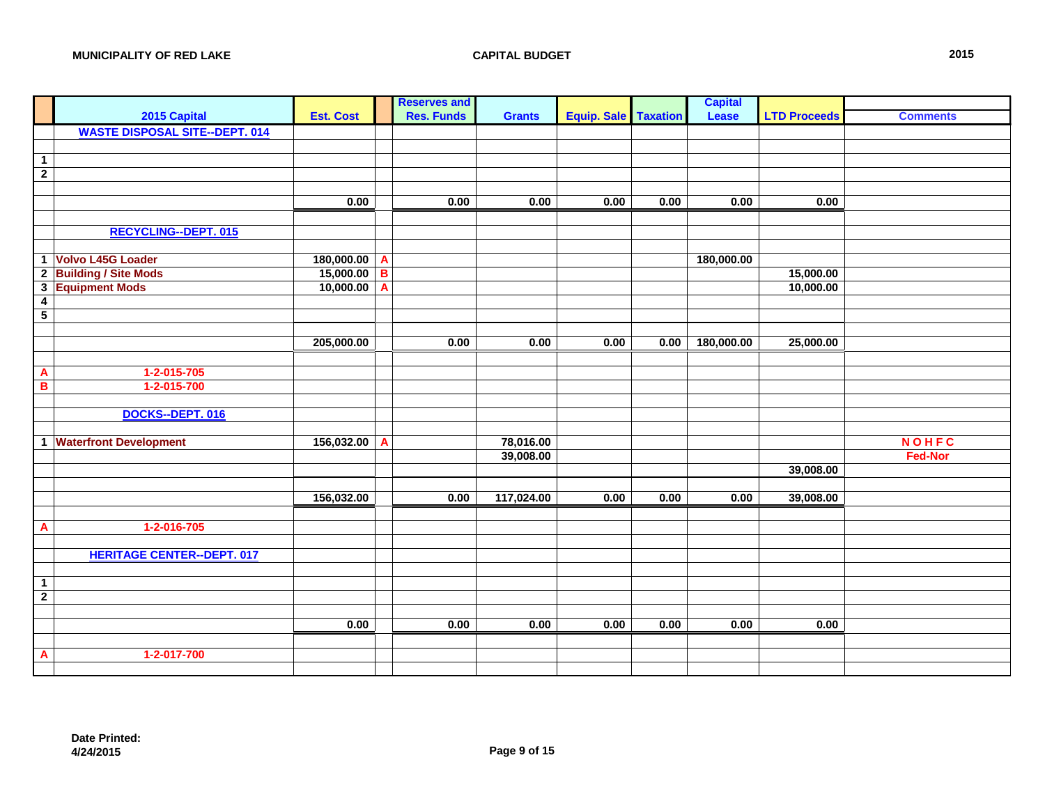|                          |                                       |                  |   | <b>Reserves and</b> |               |                      |      | <b>Capital</b> |                     |                 |
|--------------------------|---------------------------------------|------------------|---|---------------------|---------------|----------------------|------|----------------|---------------------|-----------------|
|                          | 2015 Capital                          | <b>Est. Cost</b> |   | <b>Res. Funds</b>   | <b>Grants</b> | Equip. Sale Taxation |      | Lease          | <b>LTD Proceeds</b> | <b>Comments</b> |
|                          | <b>WASTE DISPOSAL SITE--DEPT. 014</b> |                  |   |                     |               |                      |      |                |                     |                 |
|                          |                                       |                  |   |                     |               |                      |      |                |                     |                 |
| $\overline{1}$           |                                       |                  |   |                     |               |                      |      |                |                     |                 |
| $\overline{2}$           |                                       |                  |   |                     |               |                      |      |                |                     |                 |
|                          |                                       |                  |   |                     |               |                      |      |                |                     |                 |
|                          |                                       | 0.00             |   | 0.00                | 0.00          | 0.00                 | 0.00 | 0.00           | 0.00                |                 |
|                          |                                       |                  |   |                     |               |                      |      |                |                     |                 |
|                          | <b>RECYCLING--DEPT. 015</b>           |                  |   |                     |               |                      |      |                |                     |                 |
|                          |                                       |                  |   |                     |               |                      |      |                |                     |                 |
|                          | 1 Volvo L45G Loader                   | 180,000.00       | A |                     |               |                      |      | 180,000.00     |                     |                 |
|                          | 2 Building / Site Mods                | 15,000.00        | B |                     |               |                      |      |                | 15,000.00           |                 |
| $\overline{\mathbf{3}}$  | <b>Equipment Mods</b>                 | 10,000.00        | A |                     |               |                      |      |                | 10,000.00           |                 |
| $\overline{\mathbf{4}}$  |                                       |                  |   |                     |               |                      |      |                |                     |                 |
| $\overline{\phantom{0}}$ |                                       |                  |   |                     |               |                      |      |                |                     |                 |
|                          |                                       |                  |   |                     |               |                      |      |                |                     |                 |
|                          |                                       | 205,000.00       |   | 0.00                | 0.00          | 0.00                 | 0.00 | 180,000.00     | 25,000.00           |                 |
|                          |                                       |                  |   |                     |               |                      |      |                |                     |                 |
| $\overline{A}$           | 1-2-015-705                           |                  |   |                     |               |                      |      |                |                     |                 |
| $\overline{\mathbf{B}}$  | 1-2-015-700                           |                  |   |                     |               |                      |      |                |                     |                 |
|                          |                                       |                  |   |                     |               |                      |      |                |                     |                 |
|                          | DOCKS--DEPT. 016                      |                  |   |                     |               |                      |      |                |                     |                 |
|                          |                                       |                  |   |                     |               |                      |      |                |                     |                 |
|                          | 1 Waterfront Development              | 156,032.00       | A |                     | 78,016.00     |                      |      |                |                     | <b>NOHFC</b>    |
|                          |                                       |                  |   |                     | 39,008.00     |                      |      |                |                     | <b>Fed-Nor</b>  |
|                          |                                       |                  |   |                     |               |                      |      |                | 39,008.00           |                 |
|                          |                                       |                  |   |                     |               |                      |      |                |                     |                 |
|                          |                                       | 156,032.00       |   | 0.00                | 117,024.00    | 0.00                 | 0.00 | 0.00           | 39,008.00           |                 |
|                          |                                       |                  |   |                     |               |                      |      |                |                     |                 |
| $\overline{A}$           | 1-2-016-705                           |                  |   |                     |               |                      |      |                |                     |                 |
|                          |                                       |                  |   |                     |               |                      |      |                |                     |                 |
|                          | <b>HERITAGE CENTER--DEPT. 017</b>     |                  |   |                     |               |                      |      |                |                     |                 |
|                          |                                       |                  |   |                     |               |                      |      |                |                     |                 |
| $\overline{1}$           |                                       |                  |   |                     |               |                      |      |                |                     |                 |
| $\overline{2}$           |                                       |                  |   |                     |               |                      |      |                |                     |                 |
|                          |                                       | 0.00             |   | 0.00                | 0.00          | 0.00                 | 0.00 | 0.00           | 0.00                |                 |
|                          |                                       |                  |   |                     |               |                      |      |                |                     |                 |
|                          | 1-2-017-700                           |                  |   |                     |               |                      |      |                |                     |                 |
| $\mathbf{A}$             |                                       |                  |   |                     |               |                      |      |                |                     |                 |
|                          |                                       |                  |   |                     |               |                      |      |                |                     |                 |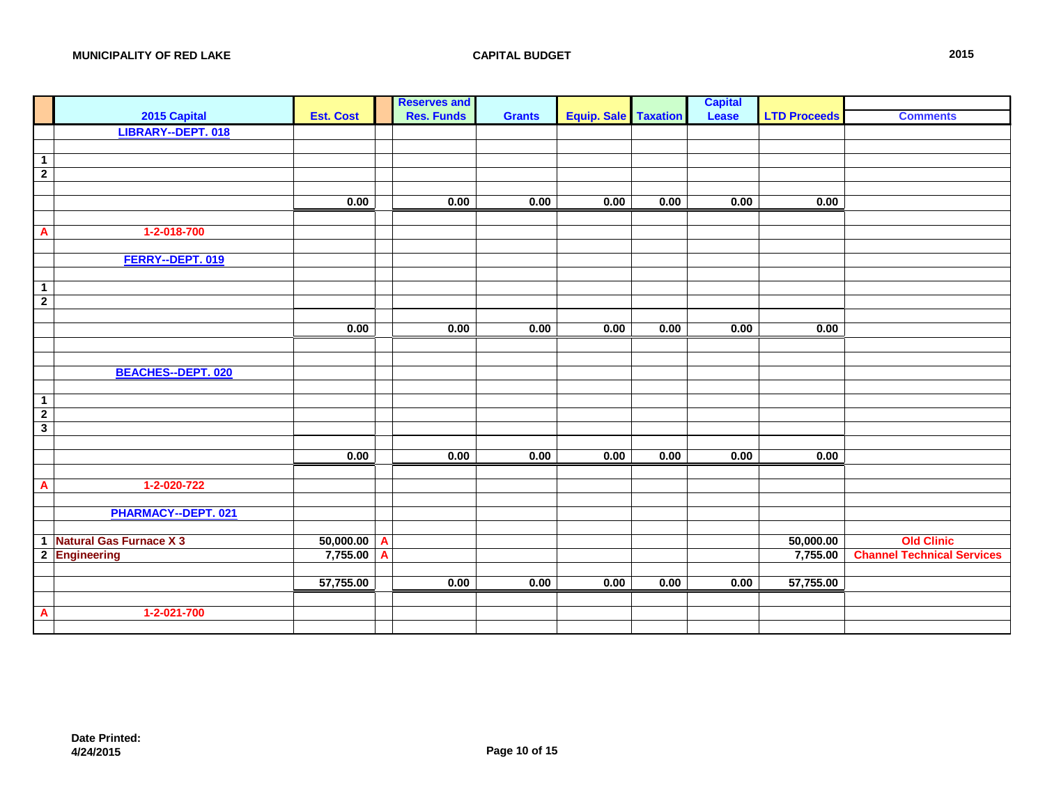| <b>Res. Funds</b><br><b>Est. Cost</b><br><b>Equip. Sale   Taxation</b><br><b>LTD Proceeds</b><br>2015 Capital<br>Lease<br><b>Comments</b><br><b>Grants</b><br>LIBRARY--DEPT. 018<br>$\overline{1}$<br>$\overline{2}$<br>0.00<br>0.00<br>0.00<br>0.00<br>0.00<br>0.00<br>0.00<br>1-2-018-700<br>$\overline{A}$<br>FERRY--DEPT. 019<br>$\mathbf{1}$<br>$\overline{2}$<br>0.00<br>0.00<br>0.00<br>0.00<br>0.00<br>0.00<br>0.00<br><b>BEACHES--DEPT. 020</b><br>$\overline{1}$<br>$\overline{2}$<br>$\overline{\mathbf{3}}$<br>0.00<br>0.00<br>0.00<br>0.00<br>0.00<br>0.00<br>0.00<br>1-2-020-722<br>$\overline{\mathbf{A}}$<br>PHARMACY--DEPT. 021<br>1 Natural Gas Furnace X 3<br><b>Old Clinic</b><br>50,000.00<br>50,000.00<br>$\overline{\mathbf{A}}$<br>2 Engineering<br>7,755.00<br>$\overline{A}$<br>7,755.00<br>57,755.00<br>0.00<br>0.00<br>0.00<br>0.00<br>0.00<br>57,755.00 |  |  | <b>Reserves and</b> |  | <b>Capital</b> |                                   |
|--------------------------------------------------------------------------------------------------------------------------------------------------------------------------------------------------------------------------------------------------------------------------------------------------------------------------------------------------------------------------------------------------------------------------------------------------------------------------------------------------------------------------------------------------------------------------------------------------------------------------------------------------------------------------------------------------------------------------------------------------------------------------------------------------------------------------------------------------------------------------------------|--|--|---------------------|--|----------------|-----------------------------------|
|                                                                                                                                                                                                                                                                                                                                                                                                                                                                                                                                                                                                                                                                                                                                                                                                                                                                                      |  |  |                     |  |                |                                   |
|                                                                                                                                                                                                                                                                                                                                                                                                                                                                                                                                                                                                                                                                                                                                                                                                                                                                                      |  |  |                     |  |                |                                   |
|                                                                                                                                                                                                                                                                                                                                                                                                                                                                                                                                                                                                                                                                                                                                                                                                                                                                                      |  |  |                     |  |                |                                   |
|                                                                                                                                                                                                                                                                                                                                                                                                                                                                                                                                                                                                                                                                                                                                                                                                                                                                                      |  |  |                     |  |                |                                   |
|                                                                                                                                                                                                                                                                                                                                                                                                                                                                                                                                                                                                                                                                                                                                                                                                                                                                                      |  |  |                     |  |                |                                   |
|                                                                                                                                                                                                                                                                                                                                                                                                                                                                                                                                                                                                                                                                                                                                                                                                                                                                                      |  |  |                     |  |                |                                   |
|                                                                                                                                                                                                                                                                                                                                                                                                                                                                                                                                                                                                                                                                                                                                                                                                                                                                                      |  |  |                     |  |                |                                   |
|                                                                                                                                                                                                                                                                                                                                                                                                                                                                                                                                                                                                                                                                                                                                                                                                                                                                                      |  |  |                     |  |                |                                   |
|                                                                                                                                                                                                                                                                                                                                                                                                                                                                                                                                                                                                                                                                                                                                                                                                                                                                                      |  |  |                     |  |                |                                   |
|                                                                                                                                                                                                                                                                                                                                                                                                                                                                                                                                                                                                                                                                                                                                                                                                                                                                                      |  |  |                     |  |                |                                   |
|                                                                                                                                                                                                                                                                                                                                                                                                                                                                                                                                                                                                                                                                                                                                                                                                                                                                                      |  |  |                     |  |                |                                   |
|                                                                                                                                                                                                                                                                                                                                                                                                                                                                                                                                                                                                                                                                                                                                                                                                                                                                                      |  |  |                     |  |                |                                   |
|                                                                                                                                                                                                                                                                                                                                                                                                                                                                                                                                                                                                                                                                                                                                                                                                                                                                                      |  |  |                     |  |                |                                   |
|                                                                                                                                                                                                                                                                                                                                                                                                                                                                                                                                                                                                                                                                                                                                                                                                                                                                                      |  |  |                     |  |                |                                   |
|                                                                                                                                                                                                                                                                                                                                                                                                                                                                                                                                                                                                                                                                                                                                                                                                                                                                                      |  |  |                     |  |                |                                   |
|                                                                                                                                                                                                                                                                                                                                                                                                                                                                                                                                                                                                                                                                                                                                                                                                                                                                                      |  |  |                     |  |                |                                   |
|                                                                                                                                                                                                                                                                                                                                                                                                                                                                                                                                                                                                                                                                                                                                                                                                                                                                                      |  |  |                     |  |                |                                   |
|                                                                                                                                                                                                                                                                                                                                                                                                                                                                                                                                                                                                                                                                                                                                                                                                                                                                                      |  |  |                     |  |                |                                   |
|                                                                                                                                                                                                                                                                                                                                                                                                                                                                                                                                                                                                                                                                                                                                                                                                                                                                                      |  |  |                     |  |                |                                   |
|                                                                                                                                                                                                                                                                                                                                                                                                                                                                                                                                                                                                                                                                                                                                                                                                                                                                                      |  |  |                     |  |                |                                   |
|                                                                                                                                                                                                                                                                                                                                                                                                                                                                                                                                                                                                                                                                                                                                                                                                                                                                                      |  |  |                     |  |                |                                   |
|                                                                                                                                                                                                                                                                                                                                                                                                                                                                                                                                                                                                                                                                                                                                                                                                                                                                                      |  |  |                     |  |                |                                   |
|                                                                                                                                                                                                                                                                                                                                                                                                                                                                                                                                                                                                                                                                                                                                                                                                                                                                                      |  |  |                     |  |                |                                   |
|                                                                                                                                                                                                                                                                                                                                                                                                                                                                                                                                                                                                                                                                                                                                                                                                                                                                                      |  |  |                     |  |                |                                   |
|                                                                                                                                                                                                                                                                                                                                                                                                                                                                                                                                                                                                                                                                                                                                                                                                                                                                                      |  |  |                     |  |                |                                   |
|                                                                                                                                                                                                                                                                                                                                                                                                                                                                                                                                                                                                                                                                                                                                                                                                                                                                                      |  |  |                     |  |                |                                   |
|                                                                                                                                                                                                                                                                                                                                                                                                                                                                                                                                                                                                                                                                                                                                                                                                                                                                                      |  |  |                     |  |                |                                   |
|                                                                                                                                                                                                                                                                                                                                                                                                                                                                                                                                                                                                                                                                                                                                                                                                                                                                                      |  |  |                     |  |                |                                   |
|                                                                                                                                                                                                                                                                                                                                                                                                                                                                                                                                                                                                                                                                                                                                                                                                                                                                                      |  |  |                     |  |                |                                   |
|                                                                                                                                                                                                                                                                                                                                                                                                                                                                                                                                                                                                                                                                                                                                                                                                                                                                                      |  |  |                     |  |                |                                   |
|                                                                                                                                                                                                                                                                                                                                                                                                                                                                                                                                                                                                                                                                                                                                                                                                                                                                                      |  |  |                     |  |                |                                   |
|                                                                                                                                                                                                                                                                                                                                                                                                                                                                                                                                                                                                                                                                                                                                                                                                                                                                                      |  |  |                     |  |                | <b>Channel Technical Services</b> |
|                                                                                                                                                                                                                                                                                                                                                                                                                                                                                                                                                                                                                                                                                                                                                                                                                                                                                      |  |  |                     |  |                |                                   |
|                                                                                                                                                                                                                                                                                                                                                                                                                                                                                                                                                                                                                                                                                                                                                                                                                                                                                      |  |  |                     |  |                |                                   |
|                                                                                                                                                                                                                                                                                                                                                                                                                                                                                                                                                                                                                                                                                                                                                                                                                                                                                      |  |  |                     |  |                |                                   |
| 1-2-021-700<br>$\overline{A}$                                                                                                                                                                                                                                                                                                                                                                                                                                                                                                                                                                                                                                                                                                                                                                                                                                                        |  |  |                     |  |                |                                   |
|                                                                                                                                                                                                                                                                                                                                                                                                                                                                                                                                                                                                                                                                                                                                                                                                                                                                                      |  |  |                     |  |                |                                   |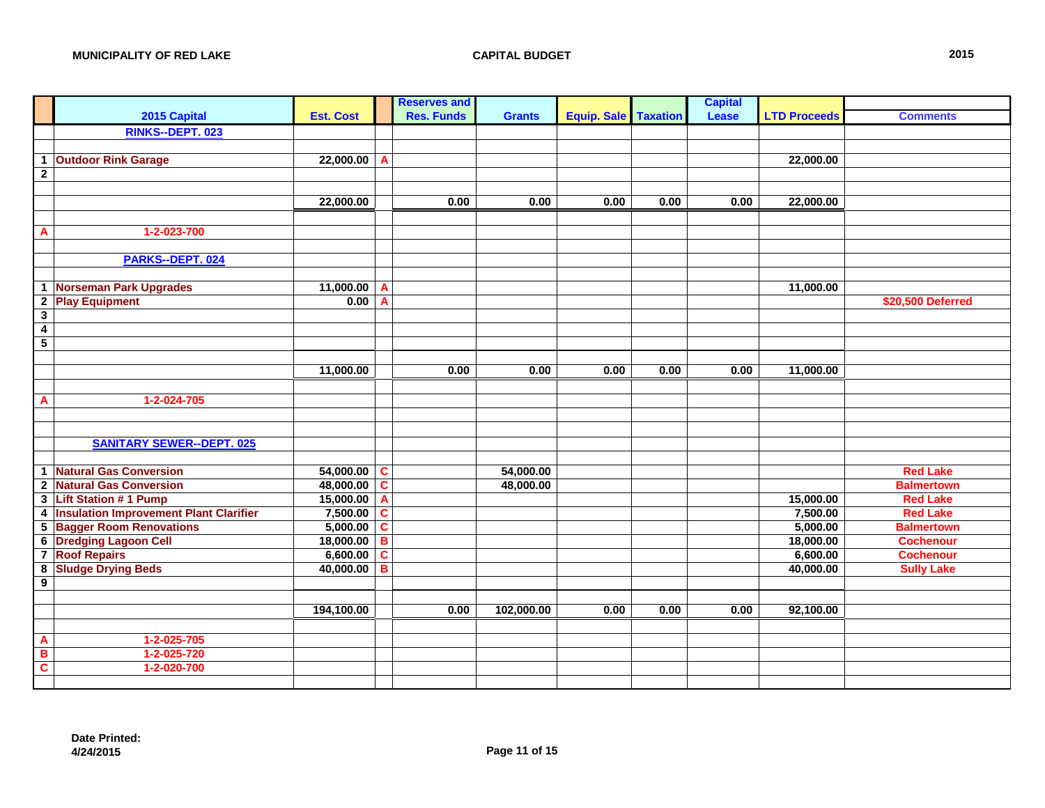|                         |                                               |                  |   | <b>Reserves and</b> |               |                               |      | <b>Capital</b> |                     |                   |
|-------------------------|-----------------------------------------------|------------------|---|---------------------|---------------|-------------------------------|------|----------------|---------------------|-------------------|
|                         | 2015 Capital                                  | <b>Est. Cost</b> |   | <b>Res. Funds</b>   | <b>Grants</b> | <b>Equip. Sale   Taxation</b> |      | Lease          | <b>LTD Proceeds</b> | <b>Comments</b>   |
|                         | RINKS--DEPT. 023                              |                  |   |                     |               |                               |      |                |                     |                   |
|                         |                                               |                  |   |                     |               |                               |      |                |                     |                   |
| $\mathbf{1}$            | <b>Outdoor Rink Garage</b>                    | 22,000.00        | A |                     |               |                               |      |                | 22,000.00           |                   |
| $\overline{2}$          |                                               |                  |   |                     |               |                               |      |                |                     |                   |
|                         |                                               |                  |   |                     |               |                               |      |                |                     |                   |
|                         |                                               | 22,000.00        |   | 0.00                | 0.00          | 0.00                          | 0.00 | 0.00           | 22,000.00           |                   |
|                         |                                               |                  |   |                     |               |                               |      |                |                     |                   |
| A                       | 1-2-023-700                                   |                  |   |                     |               |                               |      |                |                     |                   |
|                         |                                               |                  |   |                     |               |                               |      |                |                     |                   |
|                         | PARKS--DEPT. 024                              |                  |   |                     |               |                               |      |                |                     |                   |
|                         |                                               |                  |   |                     |               |                               |      |                |                     |                   |
| $\mathbf{1}$            | Norseman Park Upgrades                        | 11,000.00        | A |                     |               |                               |      |                | 11,000.00           |                   |
| $\overline{2}$          | <b>Play Equipment</b>                         | 0.00             | A |                     |               |                               |      |                |                     | \$20,500 Deferred |
| $\overline{\mathbf{3}}$ |                                               |                  |   |                     |               |                               |      |                |                     |                   |
| $\overline{4}$          |                                               |                  |   |                     |               |                               |      |                |                     |                   |
| $\overline{5}$          |                                               |                  |   |                     |               |                               |      |                |                     |                   |
|                         |                                               |                  |   |                     |               |                               |      |                |                     |                   |
|                         |                                               | 11,000.00        |   | 0.00                | 0.00          | 0.00                          | 0.00 | 0.00           | 11,000.00           |                   |
|                         |                                               |                  |   |                     |               |                               |      |                |                     |                   |
| A                       | 1-2-024-705                                   |                  |   |                     |               |                               |      |                |                     |                   |
|                         |                                               |                  |   |                     |               |                               |      |                |                     |                   |
|                         |                                               |                  |   |                     |               |                               |      |                |                     |                   |
|                         | <b>SANITARY SEWER--DEPT. 025</b>              |                  |   |                     |               |                               |      |                |                     |                   |
|                         |                                               |                  |   |                     |               |                               |      |                |                     |                   |
|                         | 1 Natural Gas Conversion                      | 54,000.00        | C |                     | 54,000.00     |                               |      |                |                     | <b>Red Lake</b>   |
| $\overline{2}$          | <b>Natural Gas Conversion</b>                 | 48,000.00        | C |                     | 48,000.00     |                               |      |                |                     | <b>Balmertown</b> |
| $\mathbf{3}$            | <b>Lift Station #1 Pump</b>                   | 15,000.00        | A |                     |               |                               |      |                | 15,000.00           | <b>Red Lake</b>   |
| 4                       | <b>Insulation Improvement Plant Clarifier</b> | 7,500.00         | C |                     |               |                               |      |                | 7,500.00            | <b>Red Lake</b>   |
| $\overline{\mathbf{5}}$ | <b>Bagger Room Renovations</b>                | 5,000.00         | C |                     |               |                               |      |                | 5,000.00            | <b>Balmertown</b> |
| $6\overline{6}$         | <b>Dredging Lagoon Cell</b>                   | 18,000.00        | B |                     |               |                               |      |                | 18,000.00           | <b>Cochenour</b>  |
| $\overline{7}$          | <b>Roof Repairs</b>                           | 6,600.00         | C |                     |               |                               |      |                | 6,600.00            | <b>Cochenour</b>  |
| $\overline{\mathbf{8}}$ | <b>Sludge Drying Beds</b>                     | 40,000.00        | B |                     |               |                               |      |                | 40,000.00           | <b>Sully Lake</b> |
| $\overline{9}$          |                                               |                  |   |                     |               |                               |      |                |                     |                   |
|                         |                                               |                  |   |                     |               |                               |      |                |                     |                   |
|                         |                                               | 194,100.00       |   | 0.00                | 102,000.00    | 0.00                          | 0.00 | 0.00           | 92,100.00           |                   |
|                         |                                               |                  |   |                     |               |                               |      |                |                     |                   |
| A                       | $1 - 2 - 025 - 705$                           |                  |   |                     |               |                               |      |                |                     |                   |
| B                       | $1 - 2 - 025 - 720$                           |                  |   |                     |               |                               |      |                |                     |                   |
| $\overline{\mathbf{c}}$ | 1-2-020-700                                   |                  |   |                     |               |                               |      |                |                     |                   |
|                         |                                               |                  |   |                     |               |                               |      |                |                     |                   |
|                         |                                               |                  |   |                     |               |                               |      |                |                     |                   |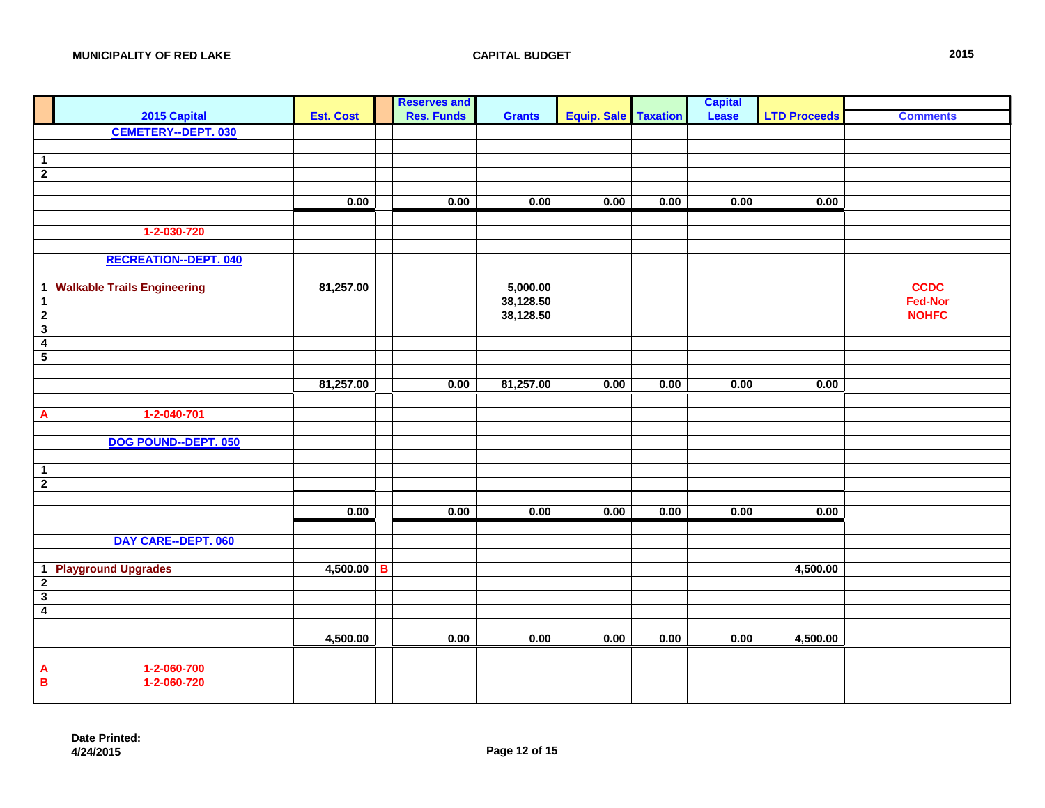|                                            |                                    |                  |   | <b>Reserves and</b> |               |                      |      | <b>Capital</b> |                     |                 |
|--------------------------------------------|------------------------------------|------------------|---|---------------------|---------------|----------------------|------|----------------|---------------------|-----------------|
|                                            | 2015 Capital                       | <b>Est. Cost</b> |   | <b>Res. Funds</b>   | <b>Grants</b> | Equip. Sale Taxation |      | Lease          | <b>LTD Proceeds</b> | <b>Comments</b> |
|                                            | <b>CEMETERY--DEPT. 030</b>         |                  |   |                     |               |                      |      |                |                     |                 |
|                                            |                                    |                  |   |                     |               |                      |      |                |                     |                 |
| $\overline{1}$                             |                                    |                  |   |                     |               |                      |      |                |                     |                 |
| $\overline{2}$                             |                                    |                  |   |                     |               |                      |      |                |                     |                 |
|                                            |                                    |                  |   |                     |               |                      |      |                |                     |                 |
|                                            |                                    | 0.00             |   | 0.00                | 0.00          | 0.00                 | 0.00 | 0.00           | 0.00                |                 |
|                                            |                                    |                  |   |                     |               |                      |      |                |                     |                 |
|                                            | 1-2-030-720                        |                  |   |                     |               |                      |      |                |                     |                 |
|                                            |                                    |                  |   |                     |               |                      |      |                |                     |                 |
|                                            | <b>RECREATION--DEPT. 040</b>       |                  |   |                     |               |                      |      |                |                     |                 |
|                                            |                                    |                  |   |                     |               |                      |      |                |                     |                 |
| $\mathbf{1}$                               | <b>Walkable Trails Engineering</b> | 81,257.00        |   |                     | 5,000.00      |                      |      |                |                     | <b>CCDC</b>     |
| $\mathbf{1}$                               |                                    |                  |   |                     | 38,128.50     |                      |      |                |                     | <b>Fed-Nor</b>  |
| $\overline{2}$                             |                                    |                  |   |                     | 38,128.50     |                      |      |                |                     | <b>NOHFC</b>    |
| $\overline{\mathbf{3}}$                    |                                    |                  |   |                     |               |                      |      |                |                     |                 |
| $\overline{4}$<br>$\overline{\phantom{a}}$ |                                    |                  |   |                     |               |                      |      |                |                     |                 |
|                                            |                                    |                  |   |                     |               |                      |      |                |                     |                 |
|                                            |                                    | 81,257.00        |   | 0.00                | 81,257.00     | 0.00                 | 0.00 | 0.00           | 0.00                |                 |
|                                            |                                    |                  |   |                     |               |                      |      |                |                     |                 |
| $\overline{\mathbf{A}}$                    | 1-2-040-701                        |                  |   |                     |               |                      |      |                |                     |                 |
|                                            |                                    |                  |   |                     |               |                      |      |                |                     |                 |
|                                            | DOG POUND--DEPT. 050               |                  |   |                     |               |                      |      |                |                     |                 |
|                                            |                                    |                  |   |                     |               |                      |      |                |                     |                 |
| $\overline{1}$                             |                                    |                  |   |                     |               |                      |      |                |                     |                 |
| $\overline{2}$                             |                                    |                  |   |                     |               |                      |      |                |                     |                 |
|                                            |                                    |                  |   |                     |               |                      |      |                |                     |                 |
|                                            |                                    | 0.00             |   | 0.00                | 0.00          | 0.00                 | 0.00 | 0.00           | 0.00                |                 |
|                                            |                                    |                  |   |                     |               |                      |      |                |                     |                 |
|                                            | DAY CARE--DEPT. 060                |                  |   |                     |               |                      |      |                |                     |                 |
|                                            |                                    |                  |   |                     |               |                      |      |                |                     |                 |
|                                            | 1 Playground Upgrades              | 4,500.00         | B |                     |               |                      |      |                | 4,500.00            |                 |
| $\overline{\mathbf{2}}$                    |                                    |                  |   |                     |               |                      |      |                |                     |                 |
| $\overline{\mathbf{3}}$                    |                                    |                  |   |                     |               |                      |      |                |                     |                 |
| $\overline{4}$                             |                                    |                  |   |                     |               |                      |      |                |                     |                 |
|                                            |                                    |                  |   |                     |               |                      |      |                |                     |                 |
|                                            |                                    | 4,500.00         |   | 0.00                | 0.00          | 0.00                 | 0.00 | 0.00           | 4,500.00            |                 |
|                                            |                                    |                  |   |                     |               |                      |      |                |                     |                 |
| $\overline{A}$                             | 1-2-060-700                        |                  |   |                     |               |                      |      |                |                     |                 |
| $\blacksquare$                             | 1-2-060-720                        |                  |   |                     |               |                      |      |                |                     |                 |
|                                            |                                    |                  |   |                     |               |                      |      |                |                     |                 |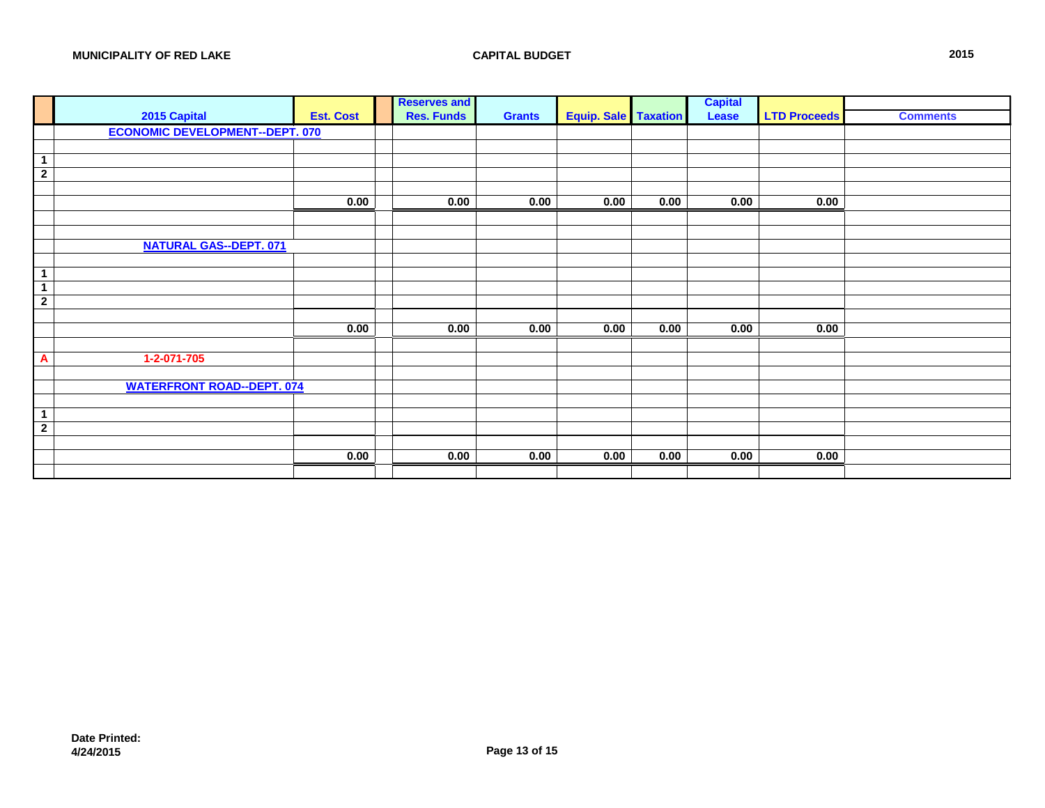|                                |                                        |                  | <b>Reserves and</b> |               |                             |      | <b>Capital</b> |                     |                 |
|--------------------------------|----------------------------------------|------------------|---------------------|---------------|-----------------------------|------|----------------|---------------------|-----------------|
|                                | 2015 Capital                           | <b>Est. Cost</b> | <b>Res. Funds</b>   | <b>Grants</b> | <b>Equip. Sale Taxation</b> |      | Lease          | <b>LTD Proceeds</b> | <b>Comments</b> |
|                                | <b>ECONOMIC DEVELOPMENT--DEPT. 070</b> |                  |                     |               |                             |      |                |                     |                 |
|                                |                                        |                  |                     |               |                             |      |                |                     |                 |
| $\mathbf{1}$                   |                                        |                  |                     |               |                             |      |                |                     |                 |
| $\overline{2}$                 |                                        |                  |                     |               |                             |      |                |                     |                 |
|                                |                                        |                  |                     |               |                             |      |                |                     |                 |
|                                |                                        | 0.00             | 0.00                | 0.00          | 0.00                        | 0.00 | 0.00           | 0.00                |                 |
|                                |                                        |                  |                     |               |                             |      |                |                     |                 |
|                                |                                        |                  |                     |               |                             |      |                |                     |                 |
|                                | <b>NATURAL GAS--DEPT. 071</b>          |                  |                     |               |                             |      |                |                     |                 |
|                                |                                        |                  |                     |               |                             |      |                |                     |                 |
| $\mathbf 1$                    |                                        |                  |                     |               |                             |      |                |                     |                 |
| $\mathbf{1}$<br>$\overline{2}$ |                                        |                  |                     |               |                             |      |                |                     |                 |
|                                |                                        |                  |                     |               |                             |      |                |                     |                 |
|                                |                                        | 0.00             | 0.00                | 0.00          | 0.00                        | 0.00 | 0.00           | 0.00                |                 |
|                                |                                        |                  |                     |               |                             |      |                |                     |                 |
| A                              | $1 - 2 - 071 - 705$                    |                  |                     |               |                             |      |                |                     |                 |
|                                |                                        |                  |                     |               |                             |      |                |                     |                 |
|                                | <b>WATERFRONT ROAD--DEPT. 074</b>      |                  |                     |               |                             |      |                |                     |                 |
|                                |                                        |                  |                     |               |                             |      |                |                     |                 |
| $\mathbf{1}$                   |                                        |                  |                     |               |                             |      |                |                     |                 |
| $\overline{2}$                 |                                        |                  |                     |               |                             |      |                |                     |                 |
|                                |                                        |                  |                     |               |                             |      |                |                     |                 |
|                                |                                        | 0.00             | 0.00                | 0.00          | 0.00                        | 0.00 | 0.00           | 0.00                |                 |
|                                |                                        |                  |                     |               |                             |      |                |                     |                 |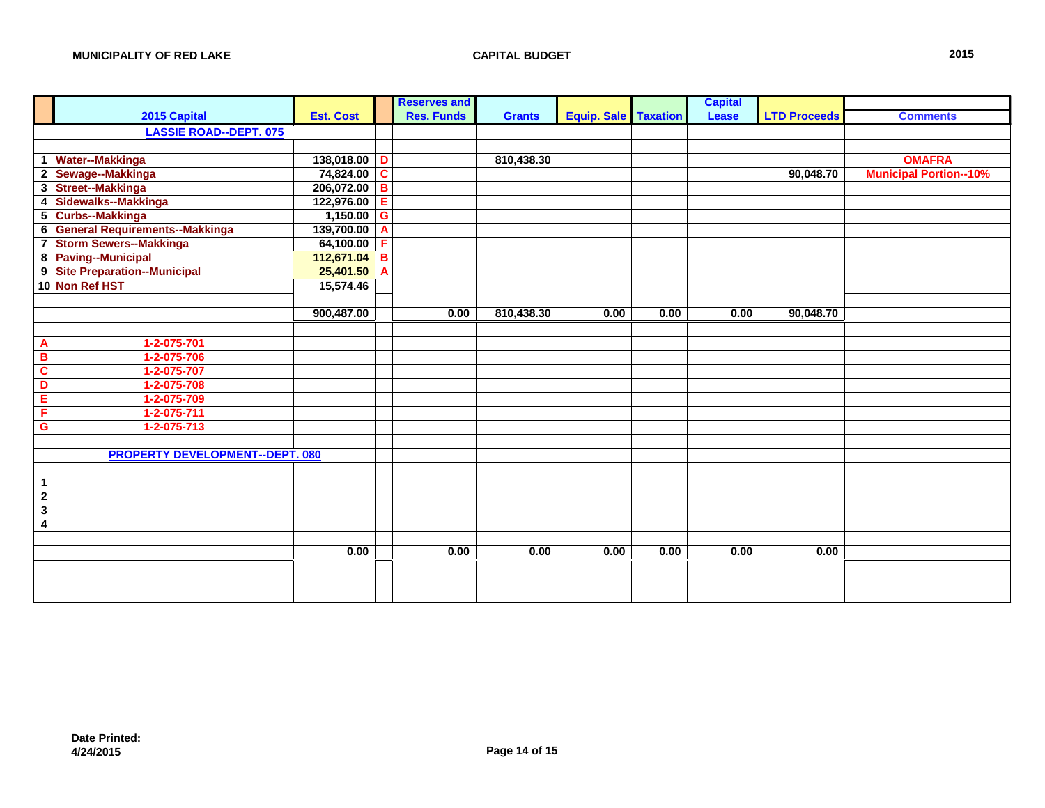|                         |                                        |                  |                | <b>Reserves and</b> |               |                      |      | <b>Capital</b> |                     |                               |
|-------------------------|----------------------------------------|------------------|----------------|---------------------|---------------|----------------------|------|----------------|---------------------|-------------------------------|
|                         | 2015 Capital                           | <b>Est. Cost</b> |                | <b>Res. Funds</b>   | <b>Grants</b> | Equip. Sale Taxation |      | Lease          | <b>LTD Proceeds</b> | <b>Comments</b>               |
|                         | <b>LASSIE ROAD--DEPT. 075</b>          |                  |                |                     |               |                      |      |                |                     |                               |
|                         |                                        |                  |                |                     |               |                      |      |                |                     |                               |
|                         | 1 Water--Makkinga                      | 138,018.00       | D              |                     | 810,438.30    |                      |      |                |                     | <b>OMAFRA</b>                 |
|                         | 2 Sewage--Makkinga                     | 74,824.00        | $\mathbf{C}$   |                     |               |                      |      |                | 90,048.70           | <b>Municipal Portion--10%</b> |
|                         | 3 Street--Makkinga                     | 206,072.00       | В              |                     |               |                      |      |                |                     |                               |
|                         | 4 Sidewalks--Makkinga                  | 122,976.00       | Е              |                     |               |                      |      |                |                     |                               |
|                         | 5 Curbs--Makkinga                      | 1,150.00         | G              |                     |               |                      |      |                |                     |                               |
|                         | 6 General Requirements--Makkinga       | 139,700.00       | A              |                     |               |                      |      |                |                     |                               |
|                         | 7 Storm Sewers--Makkinga               | 64,100.00        | F              |                     |               |                      |      |                |                     |                               |
|                         | 8 Paving--Municipal                    | 112,671.04       | B              |                     |               |                      |      |                |                     |                               |
|                         | 9 Site Preparation--Municipal          | 25,401.50        | $\overline{A}$ |                     |               |                      |      |                |                     |                               |
|                         | 10 Non Ref HST                         | 15,574.46        |                |                     |               |                      |      |                |                     |                               |
|                         |                                        |                  |                |                     |               |                      |      |                |                     |                               |
|                         |                                        | 900,487.00       |                | 0.00                | 810,438.30    | 0.00                 | 0.00 | 0.00           | 90,048.70           |                               |
|                         |                                        |                  |                |                     |               |                      |      |                |                     |                               |
| $\mathbf{A}$            | 1-2-075-701                            |                  |                |                     |               |                      |      |                |                     |                               |
| B                       | 1-2-075-706                            |                  |                |                     |               |                      |      |                |                     |                               |
| $\mathbf c$             | 1-2-075-707                            |                  |                |                     |               |                      |      |                |                     |                               |
| D                       | 1-2-075-708                            |                  |                |                     |               |                      |      |                |                     |                               |
| E                       | 1-2-075-709                            |                  |                |                     |               |                      |      |                |                     |                               |
| F                       | 1-2-075-711                            |                  |                |                     |               |                      |      |                |                     |                               |
| $\overline{G}$          | 1-2-075-713                            |                  |                |                     |               |                      |      |                |                     |                               |
|                         |                                        |                  |                |                     |               |                      |      |                |                     |                               |
|                         | <b>PROPERTY DEVELOPMENT--DEPT. 080</b> |                  |                |                     |               |                      |      |                |                     |                               |
|                         |                                        |                  |                |                     |               |                      |      |                |                     |                               |
| $\overline{1}$          |                                        |                  |                |                     |               |                      |      |                |                     |                               |
| $\overline{2}$          |                                        |                  |                |                     |               |                      |      |                |                     |                               |
| $\overline{\mathbf{3}}$ |                                        |                  |                |                     |               |                      |      |                |                     |                               |
| $\overline{\mathbf{4}}$ |                                        |                  |                |                     |               |                      |      |                |                     |                               |
|                         |                                        |                  |                |                     |               |                      |      |                |                     |                               |
|                         |                                        | 0.00             |                | 0.00                | 0.00          | 0.00                 | 0.00 | 0.00           | 0.00                |                               |
|                         |                                        |                  |                |                     |               |                      |      |                |                     |                               |
|                         |                                        |                  |                |                     |               |                      |      |                |                     |                               |
|                         |                                        |                  |                |                     |               |                      |      |                |                     |                               |